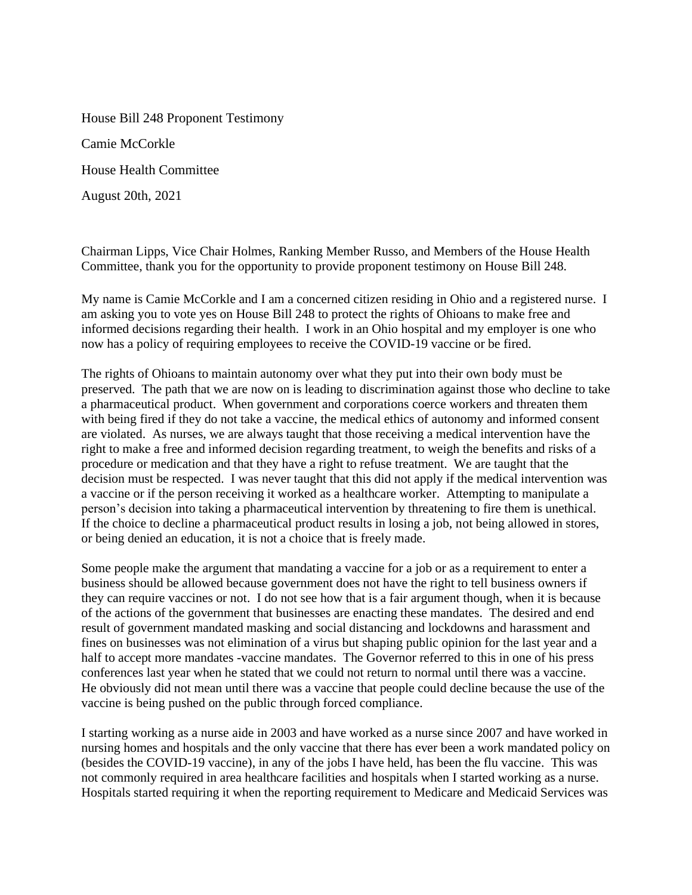House Bill 248 Proponent Testimony Camie McCorkle House Health Committee August 20th, 2021

Chairman Lipps, Vice Chair Holmes, Ranking Member Russo, and Members of the House Health Committee, thank you for the opportunity to provide proponent testimony on House Bill 248.

My name is Camie McCorkle and I am a concerned citizen residing in Ohio and a registered nurse. I am asking you to vote yes on House Bill 248 to protect the rights of Ohioans to make free and informed decisions regarding their health. I work in an Ohio hospital and my employer is one who now has a policy of requiring employees to receive the COVID-19 vaccine or be fired.

The rights of Ohioans to maintain autonomy over what they put into their own body must be preserved. The path that we are now on is leading to discrimination against those who decline to take a pharmaceutical product. When government and corporations coerce workers and threaten them with being fired if they do not take a vaccine, the medical ethics of autonomy and informed consent are violated. As nurses, we are always taught that those receiving a medical intervention have the right to make a free and informed decision regarding treatment, to weigh the benefits and risks of a procedure or medication and that they have a right to refuse treatment. We are taught that the decision must be respected. I was never taught that this did not apply if the medical intervention was a vaccine or if the person receiving it worked as a healthcare worker. Attempting to manipulate a person's decision into taking a pharmaceutical intervention by threatening to fire them is unethical. If the choice to decline a pharmaceutical product results in losing a job, not being allowed in stores, or being denied an education, it is not a choice that is freely made.

Some people make the argument that mandating a vaccine for a job or as a requirement to enter a business should be allowed because government does not have the right to tell business owners if they can require vaccines or not. I do not see how that is a fair argument though, when it is because of the actions of the government that businesses are enacting these mandates. The desired and end result of government mandated masking and social distancing and lockdowns and harassment and fines on businesses was not elimination of a virus but shaping public opinion for the last year and a half to accept more mandates -vaccine mandates. The Governor referred to this in one of his press conferences last year when he stated that we could not return to normal until there was a vaccine. He obviously did not mean until there was a vaccine that people could decline because the use of the vaccine is being pushed on the public through forced compliance.

I starting working as a nurse aide in 2003 and have worked as a nurse since 2007 and have worked in nursing homes and hospitals and the only vaccine that there has ever been a work mandated policy on (besides the COVID-19 vaccine), in any of the jobs I have held, has been the flu vaccine. This was not commonly required in area healthcare facilities and hospitals when I started working as a nurse. Hospitals started requiring it when the reporting requirement to Medicare and Medicaid Services was